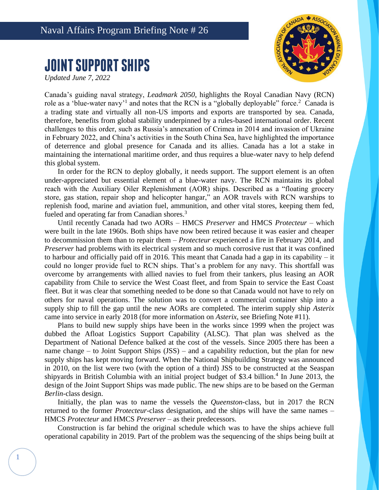## Naval Affairs Program Briefing Note # 26

## **JOINT SUPPORT SHIPS**

*Updated June 7, 2022*

1



Canada's guiding naval strategy, *Leadmark 2050*, highlights the Royal Canadian Navy (RCN) role as a 'blue-water navy'<sup>1</sup> and notes that the RCN is a "globally deployable" force.<sup>2</sup> Canada is a trading state and virtually all non-US imports and exports are transported by sea. Canada, therefore, benefits from global stability underpinned by a rules-based international order. Recent challenges to this order, such as Russia's annexation of Crimea in 2014 and invasion of Ukraine in February 2022, and China's activities in the South China Sea, have highlighted the importance of deterrence and global presence for Canada and its allies. Canada has a lot a stake in maintaining the international maritime order, and thus requires a blue-water navy to help defend this global system.

In order for the RCN to deploy globally, it needs support. The support element is an often under-appreciated but essential element of a blue-water navy. The RCN maintains its global reach with the Auxiliary Oiler Replenishment (AOR) ships. Described as a "floating grocery store, gas station, repair shop and helicopter hangar," an AOR travels with RCN warships to replenish food, marine and aviation fuel, ammunition, and other vital stores, keeping them fed, fueled and operating far from Canadian shores.<sup>3</sup>

Until recently Canada had two AORs – HMCS *Preserver* and HMCS *Protecteur* – which were built in the late 1960s. Both ships have now been retired because it was easier and cheaper to decommission them than to repair them – *Protecteur* experienced a fire in February 2014, and *Preserver* had problems with its electrical system and so much corrosive rust that it was confined to harbour and officially paid off in 2016. This meant that Canada had a gap in its capability – it could no longer provide fuel to RCN ships. That's a problem for any navy. This shortfall was overcome by arrangements with allied navies to fuel from their tankers, plus leasing an AOR capability from Chile to service the West Coast fleet, and from Spain to service the East Coast fleet. But it was clear that something needed to be done so that Canada would not have to rely on others for naval operations. The solution was to convert a commercial container ship into a supply ship to fill the gap until the new AORs are completed. The interim supply ship *Asterix* came into service in early 2018 (for more information on *Asterix*, see Briefing Note #11).

Plans to build new supply ships have been in the works since 1999 when the project was dubbed the Afloat Logistics Support Capability (ALSC). That plan was shelved as the Department of National Defence balked at the cost of the vessels. Since 2005 there has been a name change – to Joint Support Ships (JSS) – and a capability reduction, but the plan for new supply ships has kept moving forward. When the National Shipbuilding Strategy was announced in 2010, on the list were two (with the option of a third) JSS to be constructed at the Seaspan shipyards in British Columbia with an initial project budget of \$3.4 billion.<sup>4</sup> In June 2013, the design of the Joint Support Ships was made public. The new ships are to be based on the German *Berlin*-class design.

Initially, the plan was to name the vessels the *Queenston*-class, but in 2017 the RCN returned to the former *Protecteur*-class designation, and the ships will have the same names – HMCS *Protecteur* and HMCS *Preserver* – as their predecessors.

Construction is far behind the original schedule which was to have the ships achieve full operational capability in 2019. Part of the problem was the sequencing of the ships being built at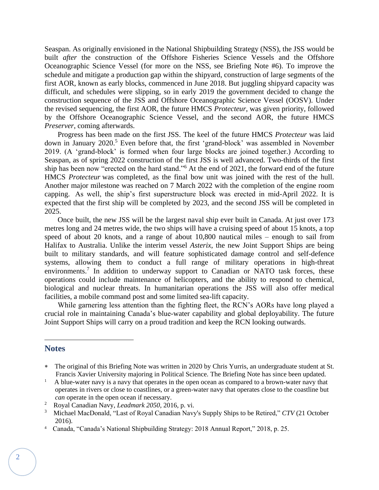Seaspan. As originally envisioned in the National Shipbuilding Strategy (NSS), the JSS would be built *after* the construction of the Offshore Fisheries Science Vessels and the Offshore Oceanographic Science Vessel (for more on the NSS, see Briefing Note #6). To improve the schedule and mitigate a production gap within the shipyard, construction of large segments of the first AOR, known as early blocks, commenced in June 2018. But juggling shipyard capacity was difficult, and schedules were slipping, so in early 2019 the government decided to change the construction sequence of the JSS and Offshore Oceanographic Science Vessel (OOSV). Under the revised sequencing, the first AOR, the future HMCS *Protecteur*, was given priority, followed by the Offshore Oceanographic Science Vessel, and the second AOR, the future HMCS *Preserver*, coming afterwards.

Progress has been made on the first JSS. The keel of the future HMCS *Protecteur* was laid down in January 2020.<sup>5</sup> Even before that, the first 'grand-block' was assembled in November 2019. (A 'grand-block' is formed when four large blocks are joined together.) According to Seaspan, as of spring 2022 construction of the first JSS is well advanced. Two-thirds of the first ship has been now "erected on the hard stand."<sup>6</sup> At the end of 2021, the forward end of the future HMCS *Protecteur* was completed, as the final bow unit was joined with the rest of the hull. Another major milestone was reached on 7 March 2022 with the completion of the engine room capping. As well, the ship's first superstructure block was erected in mid-April 2022. It is expected that the first ship will be completed by 2023, and the second JSS will be completed in 2025.

Once built, the new JSS will be the largest naval ship ever built in Canada. At just over 173 metres long and 24 metres wide, the two ships will have a cruising speed of about 15 knots, a top speed of about 20 knots, and a range of about 10,800 nautical miles – enough to sail from Halifax to Australia. Unlike the interim vessel *Asterix*, the new Joint Support Ships are being built to military standards, and will feature sophisticated damage control and self-defence systems, allowing them to conduct a full range of military operations in high-threat environments.<sup>7</sup> In addition to underway support to Canadian or NATO task forces, these operations could include maintenance of helicopters, and the ability to respond to chemical, biological and nuclear threats. In humanitarian operations the JSS will also offer medical facilities, a mobile command post and some limited sea-lift capacity.

While garnering less attention than the fighting fleet, the RCN's AORs have long played a crucial role in maintaining Canada's blue-water capability and global deployability. The future Joint Support Ships will carry on a proud tradition and keep the RCN looking outwards.

## **Notes**

The original of this Briefing Note was written in 2020 by Chris Yurris, an undergraduate student at St. Francis Xavier University majoring in Political Science*.* The Briefing Note has since been updated.

<sup>1</sup> A blue-water navy is a navy that operates in the open ocean as compared to a brown-water navy that operates in rivers or close to coastlines, or a green-water navy that operates close to the coastline but *can* operate in the open ocean if necessary.

<sup>2</sup> Royal Canadian Navy, *Leadmark 2050*, 2016, p. vi.

<sup>3</sup> Michael MacDonald, "Last of Royal Canadian Navy's Supply Ships to be Retired," *CTV* (21 October 2016).

<sup>4</sup> Canada, "Canada's National Shipbuilding Strategy: 2018 Annual Report," 2018, p. 25.